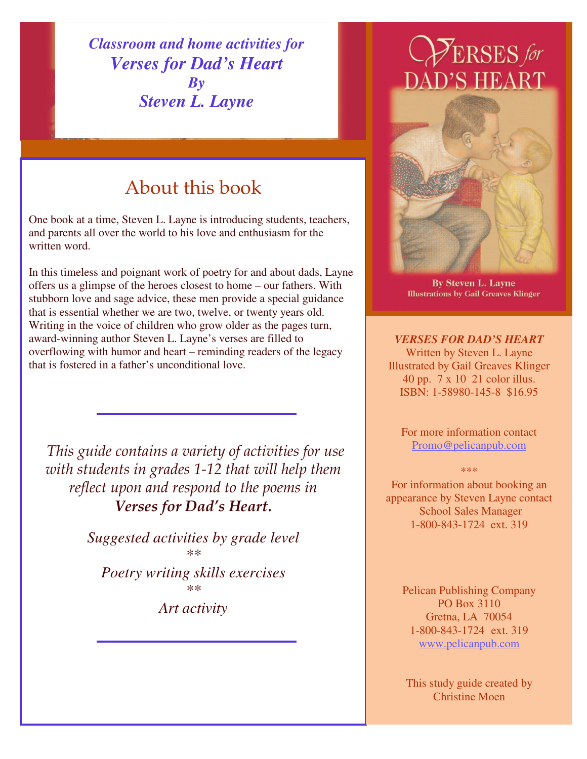*Classroom and home activities for Verses for Dad's Heart By Steven L. Layne*

# About this book

One book at a time, Steven L. Layne is introducing students, teachers, and parents all over the world to his love and enthusiasm for the written word.

In this timeless and poignant work of poetry for and about dads, Layne offers us a glimpse of the heroes closest to home – our fathers. With stubborn love and sage advice, these men provide a special guidance that is essential whether we are two, twelve, or twenty years old. Writing in the voice of children who grow older as the pages turn, award-winning author Steven L. Layne's verses are filled to overflowing with humor and heart – reminding readers of the legacy that is fostered in a father's unconditional love.

*This guide contains a variety of activities for use with students in grades 1-12 that will help them reflect upon and respond to the poems in Verses for Dad's Heart.*

> *Suggested activities by grade level \*\**

*Poetry writing skills exercises \*\**

*Art activity*

# $\mathcal{P}_{\text{ERSES}}$  for DAD'S HEART



**By Steven L. Layne Illustrations by Gail Greaves Klinger** 

*VERSES FOR DAD'S HEART* Written by Steven L. Layne Illustrated by Gail Greaves Klinger 40 pp. 7 x 10 21 color illus. ISBN: 1-58980-145-8 \$16.95

For more information contact Promo@pelicanpub.com

\*\*\*

For information about booking an appearance by Steven Layne contact School Sales Manager 1-800-843-1724 ext. 319

Pelican Publishing Company PO Box 3110 Gretna, LA 70054 1-800-843-1724 ext. 319 www.pelicanpub.com

This study guide created by Christine Moen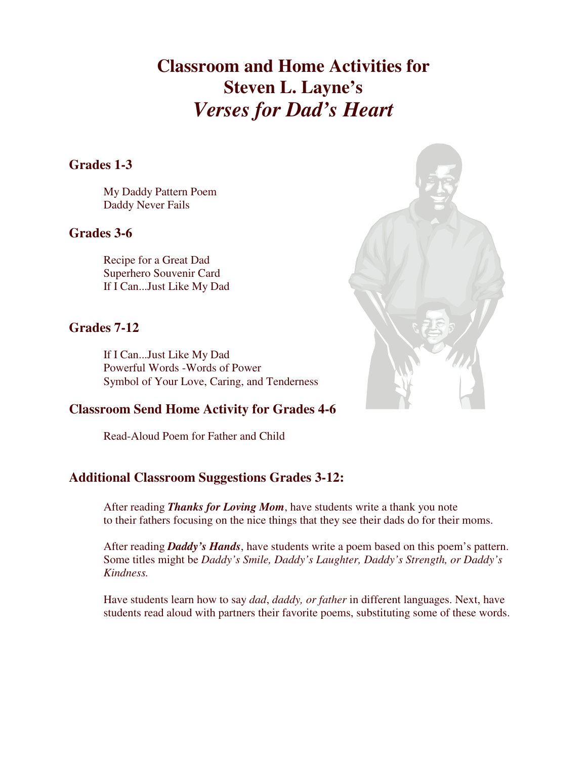**Classroom and Home Activities for Steven L. Layne's** *Verses for Dad's Heart*

## **Grades 1-3**

My Daddy Pattern Poem Daddy Never Fails

## **Grades 3-6**

Recipe for a Great Dad Superhero Souvenir Card If I Can...Just Like My Dad

## **Grades 7-12**

If I Can...Just Like My Dad Powerful Words -Words of Power Symbol of Your Love, Caring, and Tenderness

## **Classroom Send Home Activity for Grades 4-6**

Read-Aloud Poem for Father and Child

## **Additional Classroom Suggestions Grades 3-12:**

After reading *Thanks for Loving Mom*, have students write a thank you note to their fathers focusing on the nice things that they see their dads do for their moms.

After reading *Daddy's Hands*, have students write a poem based on this poem's pattern. Some titles might be *Daddy's Smile, Daddy's Laughter, Daddy's Strength, or Daddy's Kindness.*

Have students learn how to say *dad*, *daddy, or father* in different languages. Next, have students read aloud with partners their favorite poems, substituting some of these words.

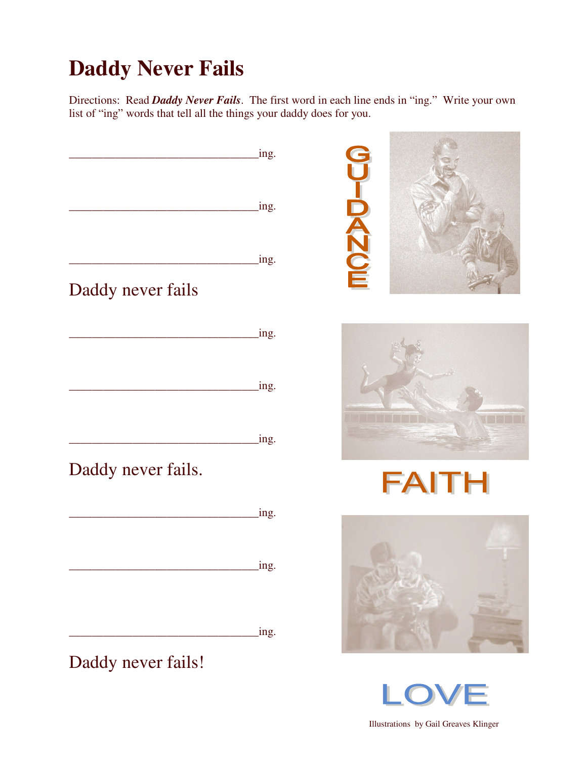# **Daddy Never Fails**

Directions: Read *Daddy Never Fails*. The first word in each line ends in "ing." Write your own list of "ing" words that tell all the things your daddy does for you.

\_\_\_\_\_\_\_\_\_\_\_\_\_\_\_\_\_\_\_\_\_\_\_\_\_\_\_\_\_\_\_\_\_ing. UIDANCE \_\_\_\_\_\_\_\_\_\_\_\_\_\_\_\_\_\_\_\_\_\_\_\_\_\_\_\_\_\_\_\_\_ing. \_\_\_\_\_\_\_\_\_\_\_\_\_\_\_\_\_\_\_\_\_\_\_\_\_\_\_\_\_\_\_\_\_ing. Daddy never fails \_\_\_\_\_\_\_\_\_\_\_\_\_\_\_\_\_\_\_\_\_\_\_\_\_\_\_\_\_\_\_\_\_ing. \_\_\_\_\_\_\_\_\_\_\_\_\_\_\_\_\_\_\_\_\_\_\_\_\_\_\_\_\_\_\_\_\_ing. \_\_\_\_\_\_\_\_\_\_\_\_\_\_\_\_\_\_\_\_\_\_\_\_\_\_\_\_\_\_\_\_\_ing. Daddy never fails. FAITH \_\_\_\_\_\_\_\_\_\_\_\_\_\_\_\_\_\_\_\_\_\_\_\_\_\_\_\_\_\_\_\_\_ing. \_\_\_\_\_\_\_\_\_\_\_\_\_\_\_\_\_\_\_\_\_\_\_\_\_\_\_\_\_\_\_\_\_ing. \_\_\_\_\_\_\_\_\_\_\_\_\_\_\_\_\_\_\_\_\_\_\_\_\_\_\_\_\_\_\_\_\_ing. Daddy never fails!



Illustrations by Gail Greaves Klinger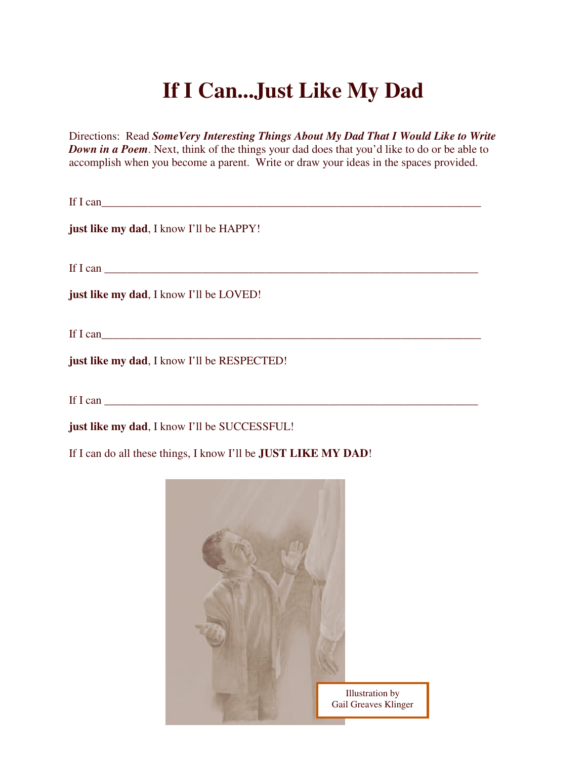# **If I Can...Just Like My Dad**

Directions: Read *SomeVery Interesting Things About My Dad That I Would Like to Write Down in a Poem*. Next, think of the things your dad does that you'd like to do or be able to accomplish when you become a parent. Write or draw your ideas in the spaces provided.

If I can  $\Box$ 

**just like my dad**, I know I'll be HAPPY!

If I can  $\Box$ 

**just like my dad**, I know I'll be LOVED!

If I can\_\_\_\_\_\_\_\_\_\_\_\_\_\_\_\_\_\_\_\_\_\_\_\_\_\_\_\_\_\_\_\_\_\_\_\_\_\_\_\_\_\_\_\_\_\_\_\_\_\_\_\_\_\_\_\_\_\_\_\_\_\_\_\_\_\_

**just like my dad**, I know I'll be RESPECTED!

If I can  $\Box$ 

**just like my dad**, I know I'll be SUCCESSFUL!

If I can do all these things, I know I'll be **JUST LIKE MY DAD**!

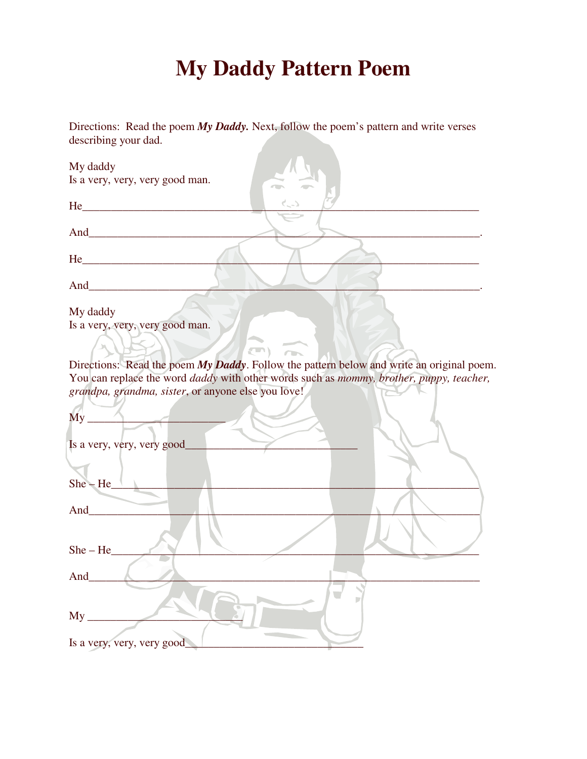# **My Daddy Pattern Poem**

Directions: Read the poem *My Daddy.* Next, follow the poem's pattern and write verses describing your dad.

| My daddy                                                                                                                       |
|--------------------------------------------------------------------------------------------------------------------------------|
| Is a very, very, very good man.                                                                                                |
|                                                                                                                                |
|                                                                                                                                |
|                                                                                                                                |
|                                                                                                                                |
| $He$ <sub>1</sub>                                                                                                              |
|                                                                                                                                |
| My daddy                                                                                                                       |
| Is a very, very, very good man.                                                                                                |
| $\left( -\right)$                                                                                                              |
| Directions: Read the poem My Daddy. Follow the pattern below and write an original poem.                                       |
| You can replace the word <i>daddy</i> with other words such as <i>mommy</i> , <i>brother</i> , <i>puppy</i> , <i>teacher</i> , |
| grandpa, grandma, sister, or anyone else you love!                                                                             |
|                                                                                                                                |
| $My_$                                                                                                                          |
|                                                                                                                                |
| Is a very, very, very good_                                                                                                    |
|                                                                                                                                |
| $She - He$                                                                                                                     |
|                                                                                                                                |
| And $\overline{\phantom{a}}$                                                                                                   |
|                                                                                                                                |
|                                                                                                                                |
| $She - He$                                                                                                                     |
| And                                                                                                                            |
|                                                                                                                                |
|                                                                                                                                |
| $My_{-}$                                                                                                                       |
|                                                                                                                                |

Is a very, very, very good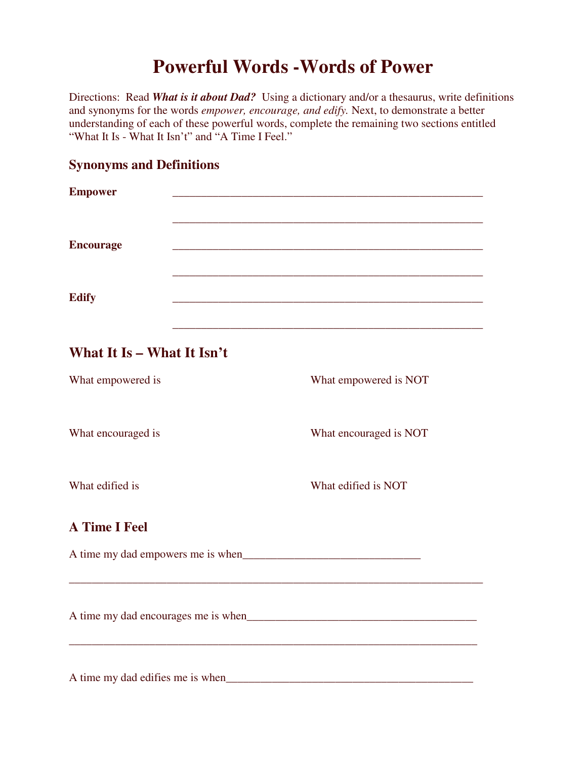# **Powerful Words -Words of Power**

Directions: Read *What is it about Dad?* Using a dictionary and/or a thesaurus, write definitions and synonyms for the words *empower, encourage, and edify.* Next, to demonstrate a better understanding of each of these powerful words, complete the remaining two sections entitled "What It Is - What It Isn't" and "A Time I Feel."

## **Synonyms and Definitions**

| <b>Empower</b>                   |                        |  |
|----------------------------------|------------------------|--|
| <b>Encourage</b>                 |                        |  |
| <b>Edify</b>                     |                        |  |
| What It Is - What It Isn't       |                        |  |
| What empowered is                | What empowered is NOT  |  |
| What encouraged is               | What encouraged is NOT |  |
| What edified is                  | What edified is NOT    |  |
| <b>A Time I Feel</b>             |                        |  |
|                                  |                        |  |
|                                  |                        |  |
| A time my dad edifies me is when |                        |  |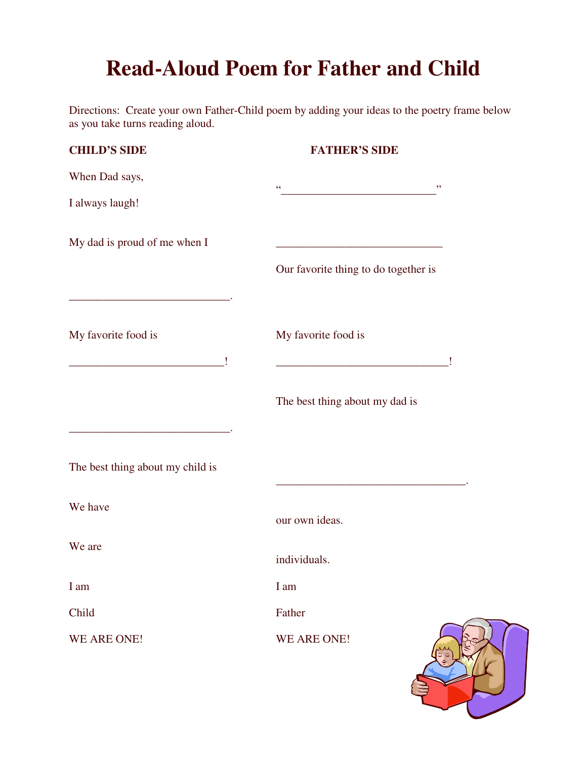# **Read-Aloud Poem for Father and Child**

Directions: Create your own Father-Child poem by adding your ideas to the poetry frame below as you take turns reading aloud.

| <b>CHILD'S SIDE</b>              | <b>FATHER'S SIDE</b>                 |
|----------------------------------|--------------------------------------|
| When Dad says,                   | $\zeta$ $\zeta$<br>, ,               |
| I always laugh!                  |                                      |
| My dad is proud of me when I     |                                      |
|                                  | Our favorite thing to do together is |
| My favorite food is              | My favorite food is                  |
|                                  | The best thing about my dad is       |
| The best thing about my child is |                                      |
| We have                          | our own ideas.                       |
| We are                           | individuals.                         |
| I am                             | I am                                 |
| Child                            | Father                               |
| WE ARE ONE!                      | WE ARE ONE!                          |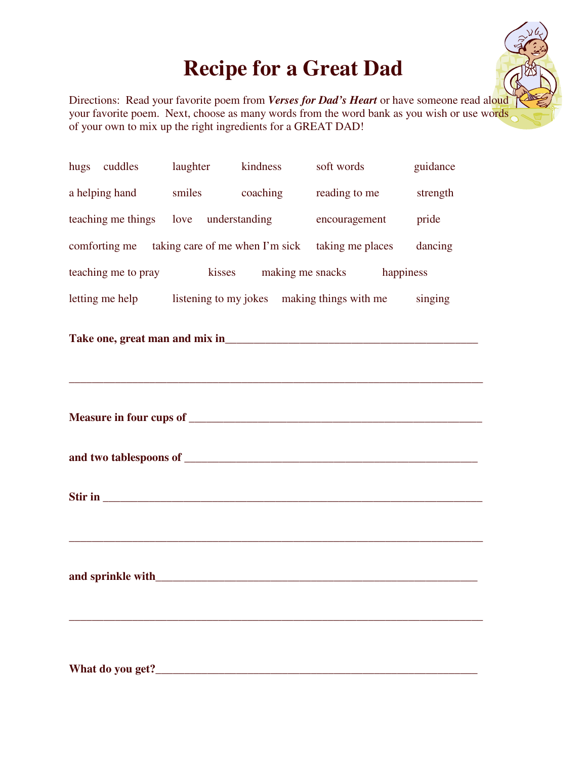# **Recipe for a Great Dad**



Directions: Read your favorite poem from *Verses for Dad's Heart* or have someone read aloud your favorite poem. Next, choose as many words from the word bank as you wish or use words of your own to mix up the right ingredients for a GREAT DAD!

| hugs cuddles laughter kindness soft words                                         |  |  |  | guidance |  |
|-----------------------------------------------------------------------------------|--|--|--|----------|--|
| a helping hand smiles coaching reading to me strength                             |  |  |  |          |  |
| teaching me things love understanding encouragement pride                         |  |  |  |          |  |
| comforting me taking care of me when I'm sick taking me places<br>dancing         |  |  |  |          |  |
| teaching me to pray hasses a making me snacks happiness                           |  |  |  |          |  |
| letting me help listening to my jokes making things with me singing               |  |  |  |          |  |
|                                                                                   |  |  |  |          |  |
| ,我们也不能在这里的时候,我们也不能在这里的时候,我们也不能会在这里的时候,我们也不能会在这里的时候,我们也不能会在这里的时候,我们也不能会在这里的时候,我们也不 |  |  |  |          |  |
|                                                                                   |  |  |  |          |  |
|                                                                                   |  |  |  |          |  |
|                                                                                   |  |  |  |          |  |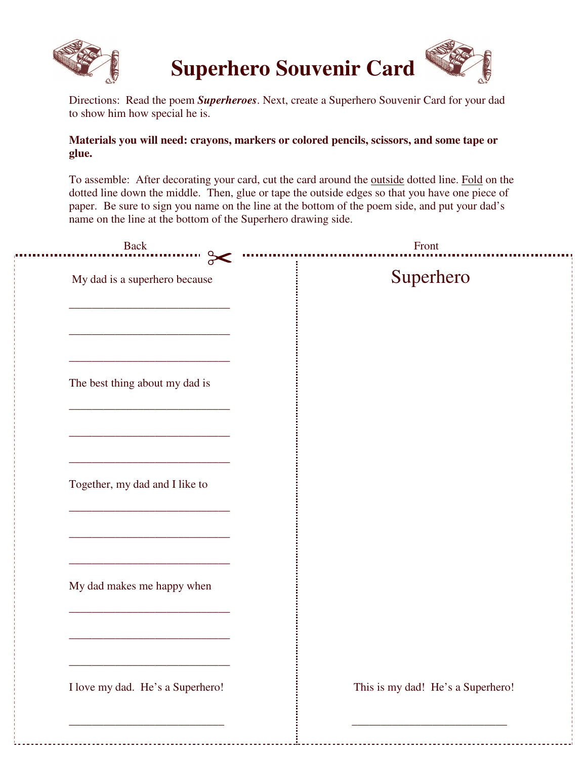

# **Superhero Souvenir Card**



Directions: Read the poem *Superheroes*. Next, create a Superhero Souvenir Card for your dad to show him how special he is.

### **Materials you will need: crayons, markers or colored pencils, scissors, and some tape or glue.**

To assemble: After decorating your card, cut the card around the outside dotted line. Fold on the dotted line down the middle. Then, glue or tape the outside edges so that you have one piece of paper. Be sure to sign you name on the line at the bottom of the poem side, and put your dad's name on the line at the bottom of the Superhero drawing side.

| <b>Back</b>                               | Front                             |
|-------------------------------------------|-----------------------------------|
| $\sigma$<br>My dad is a superhero because | Superhero                         |
| The best thing about my dad is            |                                   |
| Together, my dad and I like to            |                                   |
| My dad makes me happy when                |                                   |
| I love my dad. He's a Superhero!          | This is my dad! He's a Superhero! |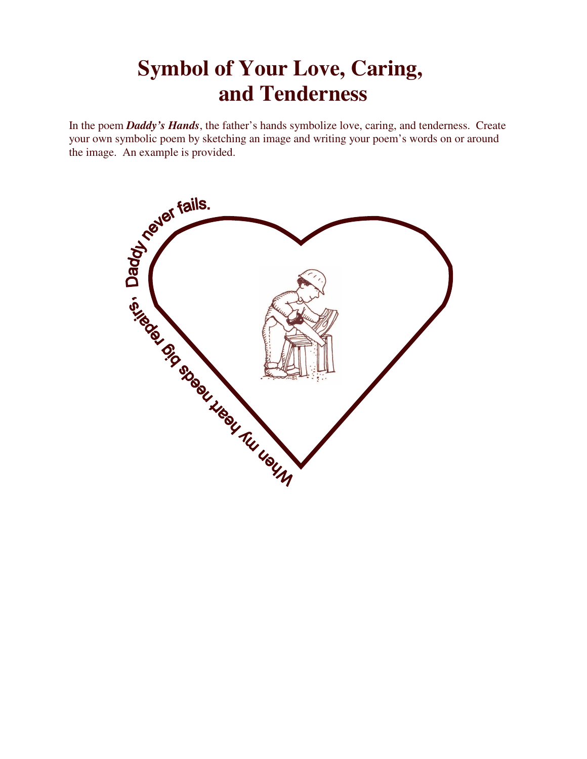# **Symbol of Your Love, Caring, and Tenderness**

In the poem *Daddy's Hands*, the father's hands symbolize love, caring, and tenderness. Create your own symbolic poem by sketching an image and writing your poem's words on or around